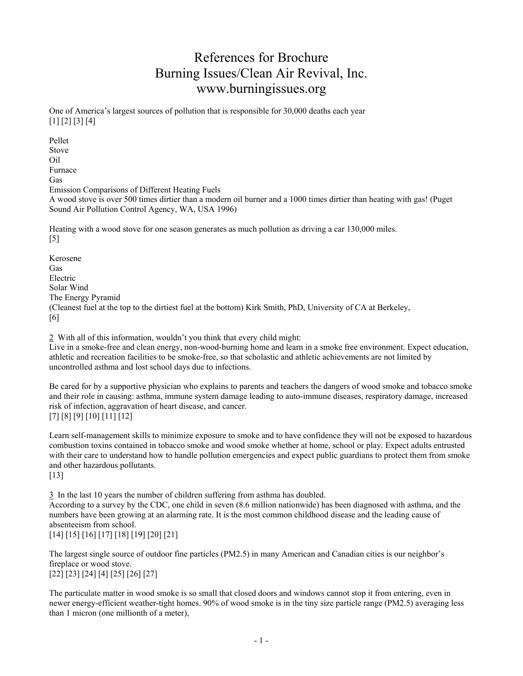# References for Brochure Burning Issues/Clean Air Revival, Inc. www.burningissues.org

One of America's largest sources of pollution that is responsible for 30,000 deaths each year [1] [2] [3] [4]

Pellet Stove Oil Furnace Gas Emission Comparisons of Different Heating Fuels A wood stove is over 500 times dirtier than a modern oil burner and a 1000 times dirtier than heating with gas! (Puget Sound Air Pollution Control Agency, WA, USA 1996)

Heating with a wood stove for one season generates as much pollution as driving a car 130,000 miles. [5]

Kerosene Gas Electric Solar Wind The Energy Pyramid (Cleanest fuel at the top to the dirtiest fuel at the bottom) Kirk Smith, PhD, University of CA at Berkeley, [6]

2 With all of this information, wouldn't you think that every child might: Live in a smoke-free and clean energy, non-wood-burning home and learn in a smoke free environment. Expect education, athletic and recreation facilities to be smoke-free, so that scholastic and athletic achievements are not limited by uncontrolled asthma and lost school days due to infections.

Be cared for by a supportive physician who explains to parents and teachers the dangers of wood smoke and tobacco smoke and their role in causing: asthma, immune system damage leading to auto-immune diseases, respiratory damage, increased risk of infection, aggravation of heart disease, and cancer. [7] [8] [9] [10] [11] [12]

Learn self-management skills to minimize exposure to smoke and to have confidence they will not be exposed to hazardous combustion toxins contained in tobacco smoke and wood smoke whether at home, school or play. Expect adults entrusted with their care to understand how to handle pollution emergencies and expect public guardians to protect them from smoke and other hazardous pollutants.

[13]

 In the last 10 years the number of children suffering from asthma has doubled. According to a survey by the CDC, one child in seven (8.6 million nationwide) has been diagnosed with asthma, and the numbers have been growing at an alarming rate. It is the most common childhood disease and the leading cause of absenteeism from school. [14] [15] [16] [17] [18] [19] [20] [21]

The largest single source of outdoor fine particles (PM2.5) in many American and Canadian cities is our neighbor's fireplace or wood stove. [22] [23] [24] [4] [25] [26] [27]

The particulate matter in wood smoke is so small that closed doors and windows cannot stop it from entering, even in newer energy-efficient weather-tight homes. 90% of wood smoke is in the tiny size particle range (PM2.5) averaging less than 1 micron (one millionth of a meter),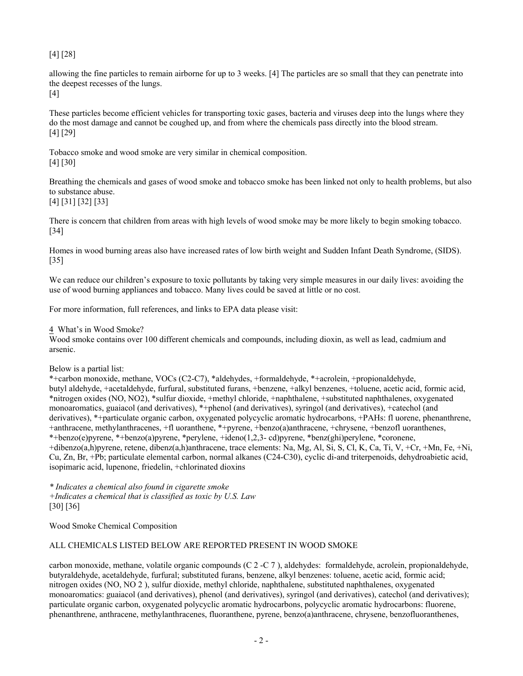### [4] [28]

allowing the fine particles to remain airborne for up to 3 weeks. [4] The particles are so small that they can penetrate into the deepest recesses of the lungs.

[4]

These particles become efficient vehicles for transporting toxic gases, bacteria and viruses deep into the lungs where they do the most damage and cannot be coughed up, and from where the chemicals pass directly into the blood stream. [4] [29]

Tobacco smoke and wood smoke are very similar in chemical composition. [4] [30]

Breathing the chemicals and gases of wood smoke and tobacco smoke has been linked not only to health problems, but also to substance abuse.

## [4] [31] [32] [33]

There is concern that children from areas with high levels of wood smoke may be more likely to begin smoking tobacco. [34]

Homes in wood burning areas also have increased rates of low birth weight and Sudden Infant Death Syndrome, (SIDS). [35]

We can reduce our children's exposure to toxic pollutants by taking very simple measures in our daily lives: avoiding the use of wood burning appliances and tobacco. Many lives could be saved at little or no cost.

For more information, full references, and links to EPA data please visit:

#### What's in Wood Smoke?

Wood smoke contains over 100 different chemicals and compounds, including dioxin, as well as lead, cadmium and arsenic.

#### Below is a partial list:

\*+carbon monoxide, methane, VOCs (C2-C7), \*aldehydes, +formaldehyde, \*+acrolein, +propionaldehyde, butyl aldehyde, +acetaldehyde, furfural, substituted furans, +benzene, +alkyl benzenes, +toluene, acetic acid, formic acid, \*nitrogen oxides (NO, NO2), \*sulfur dioxide, +methyl chloride, +naphthalene, +substituted naphthalenes, oxygenated monoaromatics, guaiacol (and derivatives), \*+phenol (and derivatives), syringol (and derivatives), +catechol (and derivatives), \*+particulate organic carbon, oxygenated polycyclic aromatic hydrocarbons, +PAHs: fl uorene, phenanthrene, +anthracene, methylanthracenes, +fl uoranthene, \*+pyrene, +benzo(a)anthracene, +chrysene, +benzofl uoranthenes, \*+benzo(e)pyrene, \*+benzo(a)pyrene, \*perylene, +ideno(1,2,3- cd)pyrene, \*benz(ghi)perylene, \*coronene, +dibenzo(a,h)pyrene, retene, dibenz(a,h)anthracene, trace elements: Na, Mg, Al, Si, S, Cl, K, Ca, Ti, V, +Cr, +Mn, Fe, +Ni, Cu, Zn, Br, +Pb; particulate elemental carbon, normal alkanes (C24-C30), cyclic di-and triterpenoids, dehydroabietic acid, isopimaric acid, lupenone, friedelin, +chlorinated dioxins

*\* Indicates a chemical also found in cigarette smoke +Indicates a chemical that is classified as toxic by U.S. Law*  [30] [36]

Wood Smoke Chemical Composition

#### ALL CHEMICALS LISTED BELOW ARE REPORTED PRESENT IN WOOD SMOKE

carbon monoxide, methane, volatile organic compounds (C 2 -C 7 ), aldehydes: formaldehyde, acrolein, propionaldehyde, butyraldehyde, acetaldehyde, furfural; substituted furans, benzene, alkyl benzenes: toluene, acetic acid, formic acid; nitrogen oxides (NO, NO 2 ), sulfur dioxide, methyl chloride, naphthalene, substituted naphthalenes, oxygenated monoaromatics: guaiacol (and derivatives), phenol (and derivatives), syringol (and derivatives), catechol (and derivatives); particulate organic carbon, oxygenated polycyclic aromatic hydrocarbons, polycyclic aromatic hydrocarbons: fluorene, phenanthrene, anthracene, methylanthracenes, fluoranthene, pyrene, benzo(a)anthracene, chrysene, benzofluoranthenes,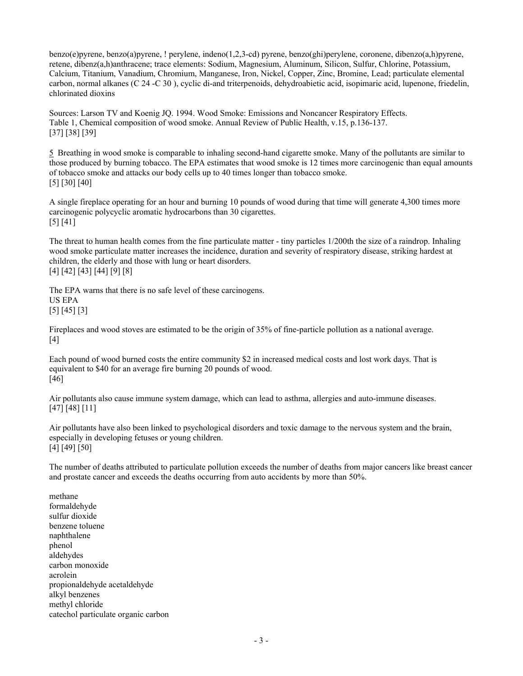benzo(e)pyrene, benzo(a)pyrene, ! perylene, indeno(1,2,3-cd) pyrene, benzo(ghi)perylene, coronene, dibenzo(a,h)pyrene, retene, dibenz(a,h)anthracene; trace elements: Sodium, Magnesium, Aluminum, Silicon, Sulfur, Chlorine, Potassium, Calcium, Titanium, Vanadium, Chromium, Manganese, Iron, Nickel, Copper, Zinc, Bromine, Lead; particulate elemental carbon, normal alkanes (C 24 -C 30 ), cyclic di-and triterpenoids, dehydroabietic acid, isopimaric acid, lupenone, friedelin, chlorinated dioxins

Sources: Larson TV and Koenig JQ. 1994. Wood Smoke: Emissions and Noncancer Respiratory Effects. Table 1, Chemical composition of wood smoke. Annual Review of Public Health, v.15, p.136-137. [37] [38] [39]

 Breathing in wood smoke is comparable to inhaling second-hand cigarette smoke. Many of the pollutants are similar to those produced by burning tobacco. The EPA estimates that wood smoke is 12 times more carcinogenic than equal amounts of tobacco smoke and attacks our body cells up to 40 times longer than tobacco smoke. [5] [30] [40]

A single fireplace operating for an hour and burning 10 pounds of wood during that time will generate 4,300 times more carcinogenic polycyclic aromatic hydrocarbons than 30 cigarettes. [5] [41]

The threat to human health comes from the fine particulate matter - tiny particles 1/200th the size of a raindrop. Inhaling wood smoke particulate matter increases the incidence, duration and severity of respiratory disease, striking hardest at children, the elderly and those with lung or heart disorders. [4] [42] [43] [44] [9] [8]

The EPA warns that there is no safe level of these carcinogens. US EPA [5] [45] [3]

Fireplaces and wood stoves are estimated to be the origin of 35% of fine-particle pollution as a national average. [4]

Each pound of wood burned costs the entire community \$2 in increased medical costs and lost work days. That is equivalent to \$40 for an average fire burning 20 pounds of wood. [46]

Air pollutants also cause immune system damage, which can lead to asthma, allergies and auto-immune diseases. [47] [48] [11]

Air pollutants have also been linked to psychological disorders and toxic damage to the nervous system and the brain, especially in developing fetuses or young children. [4] [49] [50]

The number of deaths attributed to particulate pollution exceeds the number of deaths from major cancers like breast cancer and prostate cancer and exceeds the deaths occurring from auto accidents by more than 50%.

methane formaldehyde sulfur dioxide benzene toluene naphthalene phenol aldehydes carbon monoxide acrolein propionaldehyde acetaldehyde alkyl benzenes methyl chloride catechol particulate organic carbon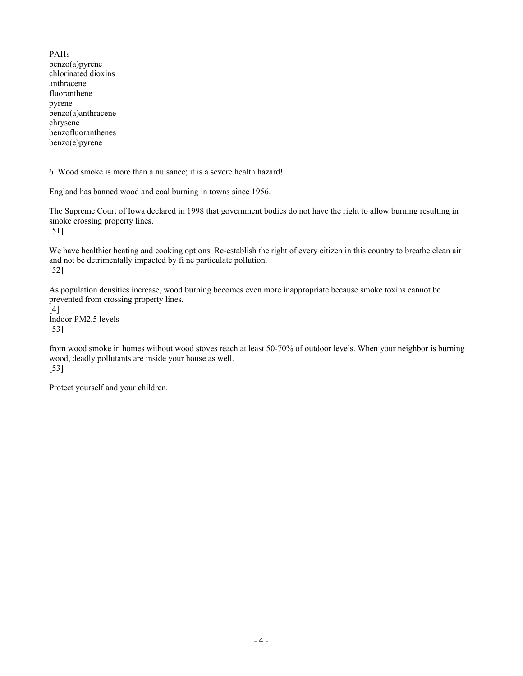PAHs benzo(a)pyrene chlorinated dioxins anthracene fluoranthene pyrene benzo(a)anthracene chrysene benzofluoranthenes benzo(e)pyrene

6 Wood smoke is more than a nuisance; it is a severe health hazard!

England has banned wood and coal burning in towns since 1956.

The Supreme Court of Iowa declared in 1998 that government bodies do not have the right to allow burning resulting in smoke crossing property lines. [51]

We have healthier heating and cooking options. Re-establish the right of every citizen in this country to breathe clean air and not be detrimentally impacted by fi ne particulate pollution. [52]

As population densities increase, wood burning becomes even more inappropriate because smoke toxins cannot be prevented from crossing property lines.

[4] Indoor PM2.5 levels [53]

from wood smoke in homes without wood stoves reach at least 50-70% of outdoor levels. When your neighbor is burning wood, deadly pollutants are inside your house as well. [53]

Protect yourself and your children.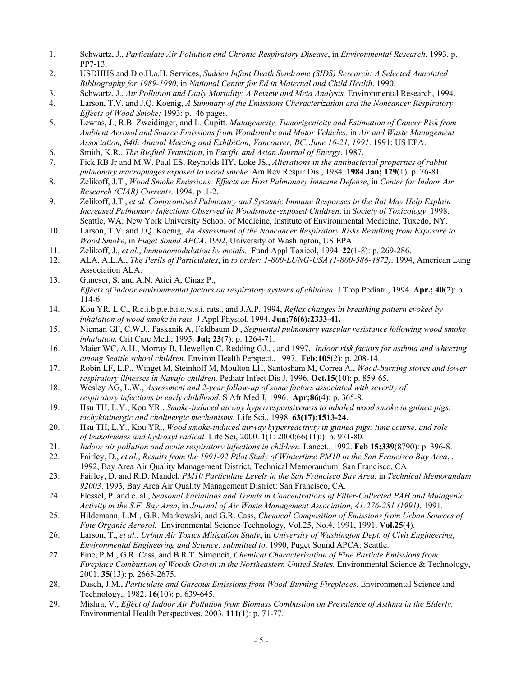- 1. Schwartz, J., *Particulate Air Pollution and Chronic Respiratory Disease*, in *Environmental Research*. 1993. p. PP7-13.
- 2. USDHHS and D.o.H.a.H. Services, *Sudden Infant Death Syndrome (SIDS) Research: A Selected Annotated Bibliography for 1989-1990*, in *National Center for Ed in Maternal and Child Health*. 1990.
- 3. Schwartz, J., *Air Pollution and Daily Mortality: A Review and Meta Analysis.* Environmental Research, 1994.
- 4. Larson, T.V. and J.Q. Koenig, *A Summary of the Emissions Characterization and the Noncancer Respiratory Effects of Wood Smoke;* 1993: p. 46 pages.
- 5. Lewtas, J., R.B. Zweidinger, and L. Cupitt. *Mutagenicity, Tumorigenicity and Estimation of Cancer Risk from Ambient Aerosol and Source Emissions from Woodsmoke and Motor Vehicles*. in *Air and Waste Management Association, 84th Annual Meeting and Exhibition, Vancouver, BC, June 16-21, 1991*. 1991: US EPA.
- 6. Smith, K.R., *The Biofuel Transition*, in *Pacific and Asian Journal of Energy*. 1987.
- 7. Fick RB Jr and M.W. Paul ES, Reynolds HY, Loke JS., *Alterations in the antibacterial properties of rabbit pulmonary macrophages exposed to wood smoke.* Am Rev Respir Dis., 1984. **1984 Jan; 129**(1): p. 76-81.
- 8. Zelikoff, J.T., *Wood Smoke Emissions: Effects on Host Pulmonary Immune Defense*, in *Center for Indoor Air Research (CIAR) Currents*. 1994. p. 1-2.
- 9. Zelikoff, J.T., *et al. Compromised Pulmonary and Systemic Immune Responses in the Rat May Help Explain Increased Pulmonary Infections Observed in Woodsmoke-exposed Children*. in *Society of Toxicology*. 1998. Seattle, WA: New York University School of Medicine, Institute of Environmental Medicine, Tuxedo, NY.
- 10. Larson, T.V. and J.Q. Koenig, *An Assessment of the Noncancer Respiratory Risks Resulting from Exposure to Wood Smoke*, in *Puget Sound APCA*. 1992, University of Washington, US EPA.
- 11. Zelikoff, J., *et al.*, *Immunomodulation by metals.* Fund Appl Toxicol, 1994. **22**(1-8): p. 269-286.
- 12. ALA, A.L.A., *The Perils of Particulates*, in *to order: 1-800-LUNG-USA (1-800-586-4872)*. 1994, American Lung Association ALA.
- 13. Guneser, S. and A.N. Atici A, Cinaz P., *Effects of indoor environmental factors on respiratory systems of children.* J Trop Pediatr., 1994. **Apr.; 40**(2): p. 114-6.
- 14. Kou YR, L.C., R.c.i.b.p.e.b.i.o.w.s.i. rats., and J.A.P. 1994, *Reflex changes in breathing pattern evoked by inhalation of wood smoke in rats.* J Appl Physiol, 1994. **Jun;76(6):2333-41.**
- 15. Nieman GF, C.W.J., Paskanik A, Feldbaum D., *Segmental pulmonary vascular resistance following wood smoke inhalation.* Crit Care Med., 1995. **Jul; 23**(7): p. 1264-71.
- 16. Maier WC, A.H., Morray B, Llewellyn C, Redding GJ., , and 1997, *Indoor risk factors for asthma and wheezing among Seattle school children.* Environ Health Perspect., 1997. **Feb;105**(2): p. 208-14.
- 17. Robin LF, L.P., Winget M, Steinhoff M, Moulton LH, Santosham M, Correa A., *Wood-burning stoves and lower respiratory illnesses in Navajo children.* Pediatr Infect Dis J, 1996. **Oct.15**(10): p. 859-65.
- 18. Wesley AG, L.W., *Assessment and 2-year follow-up of some factors associated with severity of respiratory infections in early childhood.* S Afr Med J, 1996. **Apr;86**(4): p. 365-8.
- 19. Hsu TH, L.Y., Kou YR., *Smoke-induced airway hyperresponsiveness to inhaled wood smoke in guinea pigs: tachykininergic and cholinergic mechanisms.* Life Sci., 1998. **63(17):1513-24.**
- 20. Hsu TH, L.Y., Kou YR., *Wood smoke-induced airway hyperreactivity in guinea pigs: time course, and role of leukotrienes and hydroxyl radical.* Life Sci, 2000. **1**(1: 2000;66(11):): p. 971-80.
- 21. *Indoor air pollution and acute respiratory infections in children.* Lancet., 1992. **Feb 15;339**(8790): p. 396-8.
- 22. Fairley, D., *et al.*, *Results from the 1991-92 Pilot Study of Wintertime PM10 in the San Francisco Bay Area*, . 1992, Bay Area Air Quality Management District, Technical Memorandum: San Francisco, CA.
- 23. Fairley, D. and R.D. Mandel, *PM10 Particulate Levels in the San Francisco Bay Area*, in *Technical Memorandum 92003*. 1993, Bay Area Air Quality Management District: San Francisco, CA.
- 24. Flessel, P. and e. al., *Seasonal Variations and Trends in Concentrations of Filter-Collected PAH and Mutagenic Activity in the S.F. Bay Area*, in *Journal of Air Waste Management Association, 41:276-281 (1991)*. 1991.
- 25. Hildemann, L.M., G.R. Markowski, and G.R. Cass, *Chemical Composition of Emissions from Urban Sources of Fine Organic Aerosol.* Environmental Science Technology, Vol.25, No.4, 1991, 1991. **Vol.25**(4).
- 26. Larson, T., *et al.*, *Urban Air Toxics Mitigation Study*, in *University of Washington Dept. of Civil Engineering, Environmental Engineering and Science; submitted to*. 1990, Puget Sound APCA: Seattle.
- 27. Fine, P.M., G.R. Cass, and B.R.T. Simoneit, *Chemical Characterization of Fine Particle Emissions from Fireplace Combustion of Woods Grown in the Northeastern United States.* Environmental Science & Technology, 2001. **35**(13): p. 2665-2675.
- 28. Dasch, J.M., *Particulate and Gaseous Emissions from Wood-Burning Fireplaces.* Environmental Science and Technology,, 1982. **16**(10): p. 639-645.
- 29. Mishra, V., *Effect of Indoor Air Pollution from Biomass Combustion on Prevalence of Asthma in the Elderly.* Environmental Health Perspectives, 2003. **111**(1): p. 71-77.